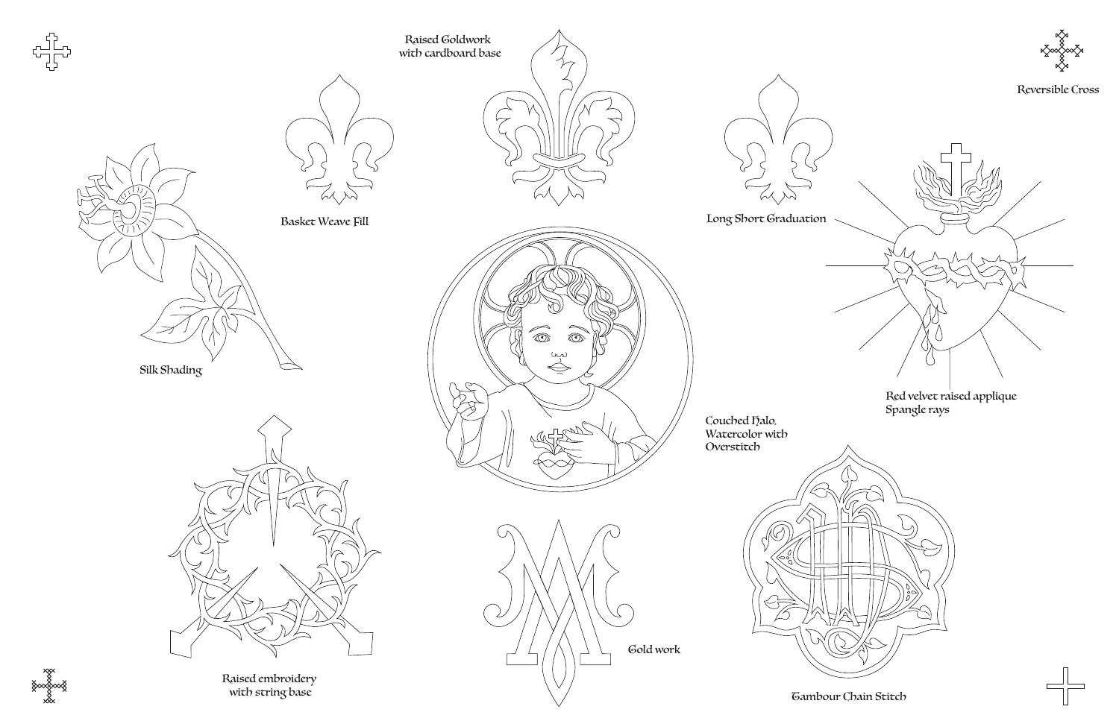



Tambour Chain Stitch

## Red velvet raised applique Spangle rays



## Reversible Cross

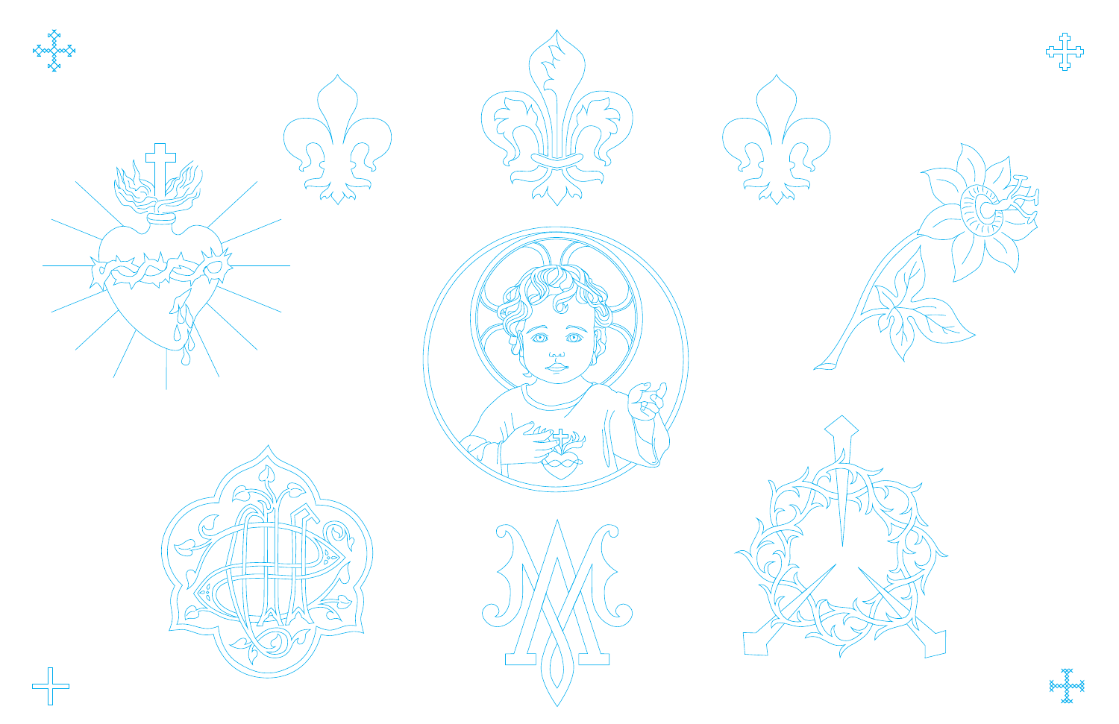



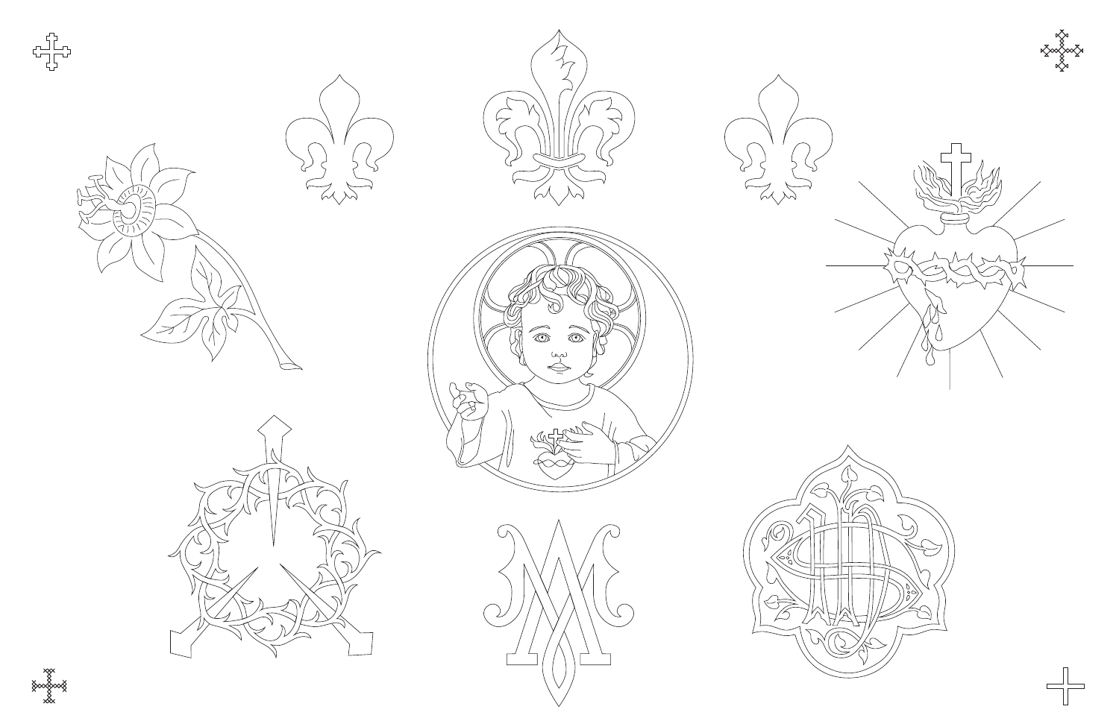